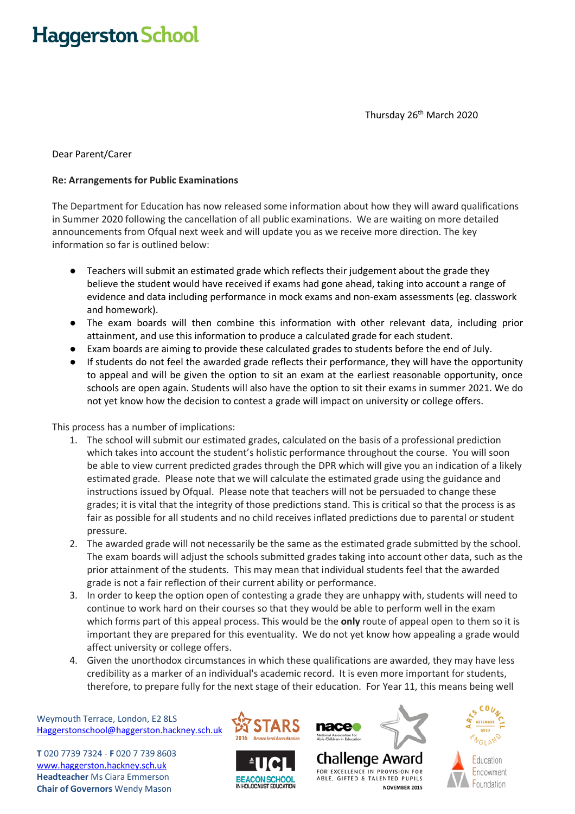## **Haggerston School**

Thursday 26<sup>th</sup> March 2020

## Dear Parent/Carer

## **Re: Arrangements for Public Examinations**

The Department for Education has now released some information about how they will award qualifications in Summer 2020 following the cancellation of all public examinations. We are waiting on more detailed announcements from Ofqual next week and will update you as we receive more direction. The key information so far is outlined below:

- Teachers will submit an estimated grade which reflects their judgement about the grade they believe the student would have received if exams had gone ahead, taking into account a range of evidence and data including performance in mock exams and non-exam assessments (eg. classwork and homework).
- The exam boards will then combine this information with other relevant data, including prior attainment, and use this information to produce a calculated grade for each student.
- Exam boards are aiming to provide these calculated grades to students before the end of July.
- If students do not feel the awarded grade reflects their performance, they will have the opportunity to appeal and will be given the option to sit an exam at the earliest reasonable opportunity, once schools are open again. Students will also have the option to sit their exams in summer 2021. We do not yet know how the decision to contest a grade will impact on university or college offers.

This process has a number of implications:

- 1. The school will submit our estimated grades, calculated on the basis of a professional prediction which takes into account the student's holistic performance throughout the course. You will soon be able to view current predicted grades through the DPR which will give you an indication of a likely estimated grade. Please note that we will calculate the estimated grade using the guidance and instructions issued by Ofqual. Please note that teachers will not be persuaded to change these grades; it is vital that the integrity of those predictions stand. This is critical so that the process is as fair as possible for all students and no child receives inflated predictions due to parental or student pressure.
- 2. The awarded grade will not necessarily be the same as the estimated grade submitted by the school. The exam boards will adjust the schools submitted grades taking into account other data, such as the prior attainment of the students. This may mean that individual students feel that the awarded grade is not a fair reflection of their current ability or performance.
- 3. In order to keep the option open of contesting a grade they are unhappy with, students will need to continue to work hard on their courses so that they would be able to perform well in the exam which forms part of this appeal process. This would be the **only** route of appeal open to them so it is important they are prepared for this eventuality. We do not yet know how appealing a grade would affect university or college offers.
- 4. Given the unorthodox circumstances in which these qualifications are awarded, they may have less credibility as a marker of an individual's academic record. It is even more important for students, therefore, to prepare fully for the next stage of their education. For Year 11, this means being well

Weymouth Terrace, London, E2 8LS Haggerstonschool@haggerston.hackney.sch.uk

**T** 020 7739 7324 - **F** 020 7 739 8603 www.haggerston.hackney.sch.uk **Headteacher** Ms Ciara Emmerson **Chair of Governors** Wendy Mason









NOVEMBER 2015

FOR EXCELLENCE IN PROVISION FOR

ABLE, GIFTED & TALENTED PUPILS